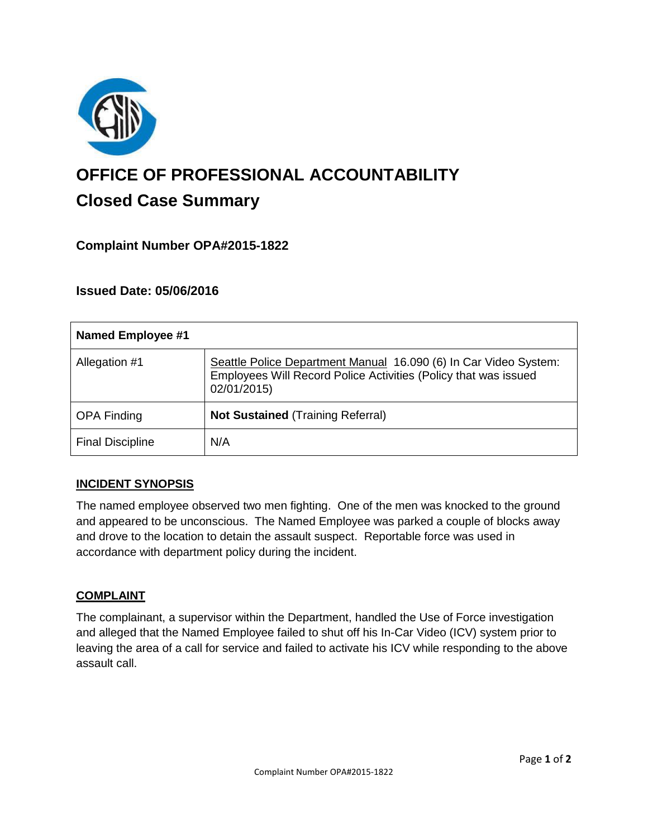

# **OFFICE OF PROFESSIONAL ACCOUNTABILITY Closed Case Summary**

# **Complaint Number OPA#2015-1822**

## **Issued Date: 05/06/2016**

| Named Employee #1       |                                                                                                                                                    |
|-------------------------|----------------------------------------------------------------------------------------------------------------------------------------------------|
| Allegation #1           | Seattle Police Department Manual 16.090 (6) In Car Video System:<br>Employees Will Record Police Activities (Policy that was issued<br>02/01/2015) |
| <b>OPA Finding</b>      | <b>Not Sustained (Training Referral)</b>                                                                                                           |
| <b>Final Discipline</b> | N/A                                                                                                                                                |

## **INCIDENT SYNOPSIS**

The named employee observed two men fighting. One of the men was knocked to the ground and appeared to be unconscious. The Named Employee was parked a couple of blocks away and drove to the location to detain the assault suspect. Reportable force was used in accordance with department policy during the incident.

#### **COMPLAINT**

The complainant, a supervisor within the Department, handled the Use of Force investigation and alleged that the Named Employee failed to shut off his In-Car Video (ICV) system prior to leaving the area of a call for service and failed to activate his ICV while responding to the above assault call.